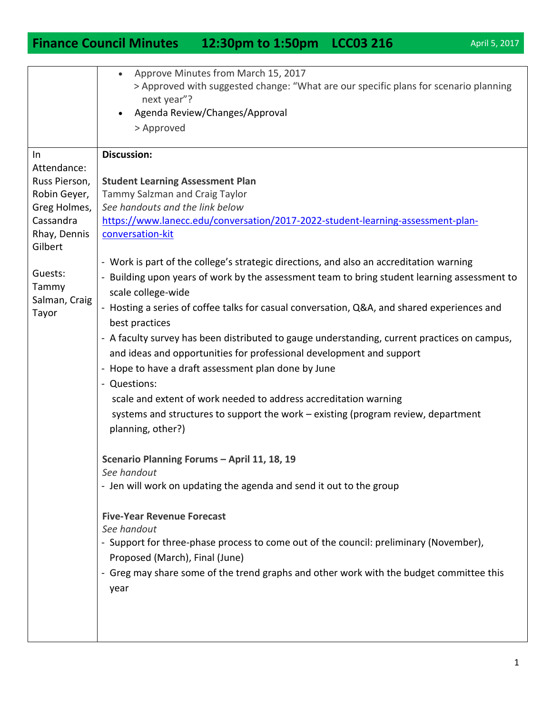## **Finance Council Minutes 12:30pm to 1:50pm LCC03 216** April 5, 2017

• Approve Minutes from March 15, 2017

|                         | > Approved with suggested change: "What are our specific plans for scenario planning                                    |
|-------------------------|-------------------------------------------------------------------------------------------------------------------------|
|                         | next year"?                                                                                                             |
|                         | Agenda Review/Changes/Approval<br>$\bullet$                                                                             |
|                         | > Approved                                                                                                              |
| In                      | <b>Discussion:</b>                                                                                                      |
| Attendance:             |                                                                                                                         |
| Russ Pierson,           | <b>Student Learning Assessment Plan</b>                                                                                 |
| Robin Geyer,            | Tammy Salzman and Craig Taylor                                                                                          |
| Greg Holmes,            | See handouts and the link below                                                                                         |
| Cassandra               | https://www.lanecc.edu/conversation/2017-2022-student-learning-assessment-plan-                                         |
| Rhay, Dennis<br>Gilbert | conversation-kit                                                                                                        |
|                         | - Work is part of the college's strategic directions, and also an accreditation warning                                 |
| Guests:<br>Tammy        | - Building upon years of work by the assessment team to bring student learning assessment to                            |
| Salman, Craig           | scale college-wide                                                                                                      |
| Tayor                   | - Hosting a series of coffee talks for casual conversation, Q&A, and shared experiences and<br>best practices           |
|                         | - A faculty survey has been distributed to gauge understanding, current practices on campus,                            |
|                         | and ideas and opportunities for professional development and support                                                    |
|                         | - Hope to have a draft assessment plan done by June                                                                     |
|                         | - Questions:                                                                                                            |
|                         | scale and extent of work needed to address accreditation warning                                                        |
|                         |                                                                                                                         |
|                         | systems and structures to support the work - existing (program review, department                                       |
|                         | planning, other?)                                                                                                       |
|                         | Scenario Planning Forums - April 11, 18, 19                                                                             |
|                         | See handout                                                                                                             |
|                         | - Jen will work on updating the agenda and send it out to the group                                                     |
|                         | <b>Five-Year Revenue Forecast</b>                                                                                       |
|                         | See handout                                                                                                             |
|                         | - Support for three-phase process to come out of the council: preliminary (November),<br>Proposed (March), Final (June) |
|                         | - Greg may share some of the trend graphs and other work with the budget committee this                                 |
|                         | year                                                                                                                    |
|                         |                                                                                                                         |